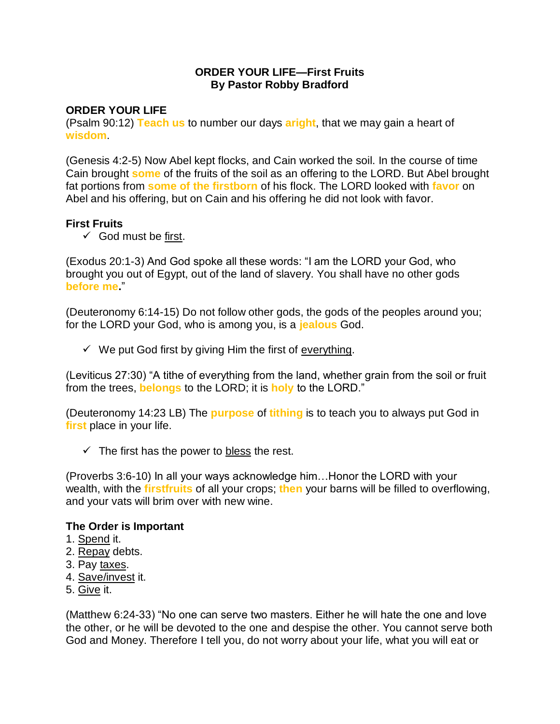## **ORDER YOUR LIFE—First Fruits By Pastor Robby Bradford**

# **ORDER YOUR LIFE**

(Psalm 90:12) **Teach us** to number our days **aright**, that we may gain a heart of **wisdom**.

(Genesis 4:2-5) Now Abel kept flocks, and Cain worked the soil. In the course of time Cain brought **some** of the fruits of the soil as an offering to the LORD. But Abel brought fat portions from **some of the firstborn** of his flock. The LORD looked with **favor** on Abel and his offering, but on Cain and his offering he did not look with favor.

## **First Fruits**

 $\checkmark$  God must be first.

(Exodus 20:1-3) And God spoke all these words: "I am the LORD your God, who brought you out of Egypt, out of the land of slavery. You shall have no other gods **before me.**"

(Deuteronomy 6:14-15) Do not follow other gods, the gods of the peoples around you; for the LORD your God, who is among you, is a **jealous** God.

 $\checkmark$  We put God first by giving Him the first of everything.

(Leviticus 27:30) "A tithe of everything from the land, whether grain from the soil or fruit from the trees, **belongs** to the LORD; it is **holy** to the LORD."

(Deuteronomy 14:23 LB) The **purpose** of **tithing** is to teach you to always put God in **first** place in your life.

 $\checkmark$  The first has the power to bless the rest.

(Proverbs 3:6-10) In all your ways acknowledge him…Honor the LORD with your wealth, with the **firstfruits** of all your crops; **then** your barns will be filled to overflowing, and your vats will brim over with new wine.

## **The Order is Important**

- 1. Spend it.
- 2. Repay debts.
- 3. Pay taxes.
- 4. Save/invest it.
- 5. Give it.

(Matthew 6:24-33) "No one can serve two masters. Either he will hate the one and love the other, or he will be devoted to the one and despise the other. You cannot serve both God and Money. Therefore I tell you, do not worry about your life, what you will eat or